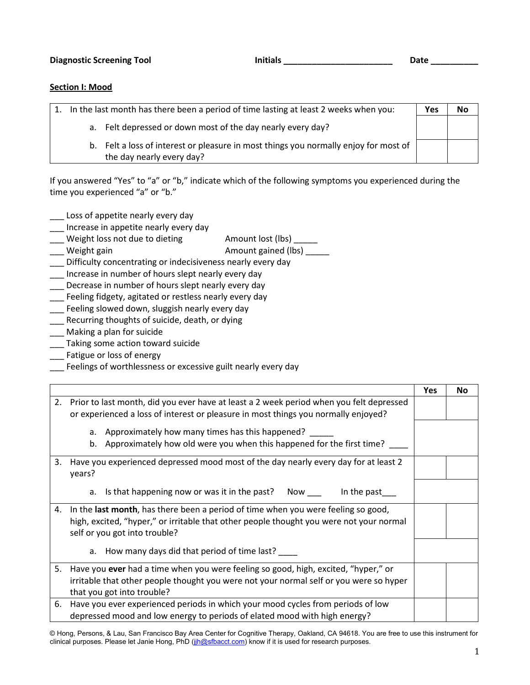## **Section I: Mood**

|  | In the last month has there been a period of time lasting at least 2 weeks when you:                              | Yes | No |
|--|-------------------------------------------------------------------------------------------------------------------|-----|----|
|  | a. Felt depressed or down most of the day nearly every day?                                                       |     |    |
|  | b. Felt a loss of interest or pleasure in most things you normally enjoy for most of<br>the day nearly every day? |     |    |

If you answered "Yes" to "a" or "b," indicate which of the following symptoms you experienced during the time you experienced "a" or "b."

- Loss of appetite nearly every day
- \_\_\_ Increase in appetite nearly every day
- Lacktriangle amount lost (lbs) Lacktriang Lacktriangle amount lost (lbs) Lacktriangle and Weight loss not due to dieting
- Lacktriangle and Meight gain and Meight gained (lbs) and Meight and Meight and Meight and Meight and Meight an
- \_\_\_ Difficulty concentrating or indecisiveness nearly every day
- \_\_\_ Increase in number of hours slept nearly every day
- \_\_\_ Decrease in number of hours slept nearly every day
- \_\_\_ Feeling fidgety, agitated or restless nearly every day
- \_\_\_ Feeling slowed down, sluggish nearly every day
- \_\_\_ Recurring thoughts of suicide, death, or dying
- \_\_\_ Making a plan for suicide
- Taking some action toward suicide
- \_\_\_ Fatigue or loss of energy
- \_\_\_ Feelings of worthlessness or excessive guilt nearly every day

|    |                                                                                                                          | Yes | No |
|----|--------------------------------------------------------------------------------------------------------------------------|-----|----|
| 2. | Prior to last month, did you ever have at least a 2 week period when you felt depressed                                  |     |    |
|    | or experienced a loss of interest or pleasure in most things you normally enjoyed?                                       |     |    |
|    | a. Approximately how many times has this happened?                                                                       |     |    |
|    | b. Approximately how old were you when this happened for the first time?                                                 |     |    |
|    | 3. Have you experienced depressed mood most of the day nearly every day for at least 2                                   |     |    |
|    | years?                                                                                                                   |     |    |
|    | a. Is that happening now or was it in the past? Now ___<br>In the past                                                   |     |    |
| 4. | In the last month, has there been a period of time when you were feeling so good,                                        |     |    |
|    | high, excited, "hyper," or irritable that other people thought you were not your normal<br>self or you got into trouble? |     |    |
|    | a. How many days did that period of time last?                                                                           |     |    |
|    |                                                                                                                          |     |    |
| 5. | Have you ever had a time when you were feeling so good, high, excited, "hyper," or                                       |     |    |
|    | irritable that other people thought you were not your normal self or you were so hyper<br>that you got into trouble?     |     |    |
|    |                                                                                                                          |     |    |
| 6. | Have you ever experienced periods in which your mood cycles from periods of low                                          |     |    |
|    | depressed mood and low energy to periods of elated mood with high energy?                                                |     |    |

© Hong, Persons, & Lau, San Francisco Bay Area Center for Cognitive Therapy, Oakland, CA 94618. You are free to use this instrument for clinical purposes. Please let Janie Hong, PhD (jjh@sfbacct.com) know if it is used for research purposes.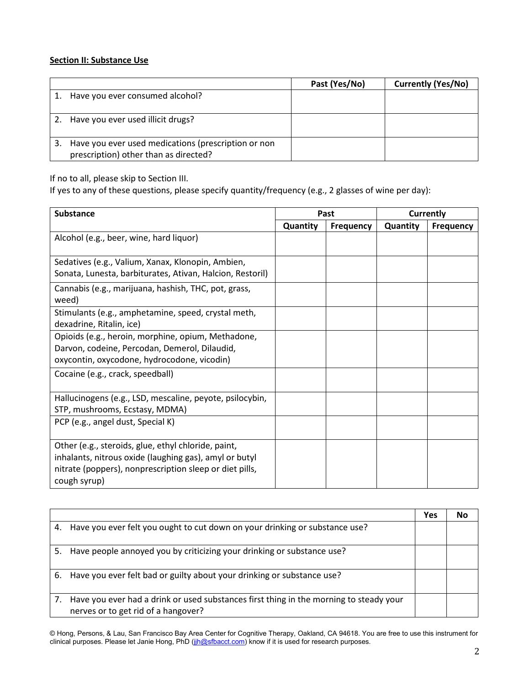## **Section II: Substance Use**

|                                                                                              | Past (Yes/No) | <b>Currently (Yes/No)</b> |
|----------------------------------------------------------------------------------------------|---------------|---------------------------|
| Have you ever consumed alcohol?                                                              |               |                           |
| 2. Have you ever used illicit drugs?                                                         |               |                           |
| Have you ever used medications (prescription or non<br>prescription) other than as directed? |               |                           |

If no to all, please skip to Section III.

If yes to any of these questions, please specify quantity/frequency (e.g., 2 glasses of wine per day):

| <b>Substance</b>                                                                                                                                                                         | Past     |                  | <b>Currently</b> |                  |
|------------------------------------------------------------------------------------------------------------------------------------------------------------------------------------------|----------|------------------|------------------|------------------|
|                                                                                                                                                                                          | Quantity | <b>Frequency</b> | Quantity         | <b>Frequency</b> |
| Alcohol (e.g., beer, wine, hard liquor)                                                                                                                                                  |          |                  |                  |                  |
| Sedatives (e.g., Valium, Xanax, Klonopin, Ambien,<br>Sonata, Lunesta, barbiturates, Ativan, Halcion, Restoril)                                                                           |          |                  |                  |                  |
| Cannabis (e.g., marijuana, hashish, THC, pot, grass,<br>weed)                                                                                                                            |          |                  |                  |                  |
| Stimulants (e.g., amphetamine, speed, crystal meth,<br>dexadrine, Ritalin, ice)                                                                                                          |          |                  |                  |                  |
| Opioids (e.g., heroin, morphine, opium, Methadone,<br>Darvon, codeine, Percodan, Demerol, Dilaudid,<br>oxycontin, oxycodone, hydrocodone, vicodin)                                       |          |                  |                  |                  |
| Cocaine (e.g., crack, speedball)                                                                                                                                                         |          |                  |                  |                  |
| Hallucinogens (e.g., LSD, mescaline, peyote, psilocybin,<br>STP, mushrooms, Ecstasy, MDMA)                                                                                               |          |                  |                  |                  |
| PCP (e.g., angel dust, Special K)                                                                                                                                                        |          |                  |                  |                  |
| Other (e.g., steroids, glue, ethyl chloride, paint,<br>inhalants, nitrous oxide (laughing gas), amyl or butyl<br>nitrate (poppers), nonprescription sleep or diet pills,<br>cough syrup) |          |                  |                  |                  |

|    |                                                                                                                               | Yes | Nο |
|----|-------------------------------------------------------------------------------------------------------------------------------|-----|----|
|    | 4. Have you ever felt you ought to cut down on your drinking or substance use?                                                |     |    |
| 5. | Have people annoyed you by criticizing your drinking or substance use?                                                        |     |    |
|    | 6. Have you ever felt bad or guilty about your drinking or substance use?                                                     |     |    |
|    | Have you ever had a drink or used substances first thing in the morning to steady your<br>nerves or to get rid of a hangover? |     |    |

© Hong, Persons, & Lau, San Francisco Bay Area Center for Cognitive Therapy, Oakland, CA 94618. You are free to use this instrument for clinical purposes. Please let Janie Hong, PhD (jjh@sfbacct.com) know if it is used for research purposes.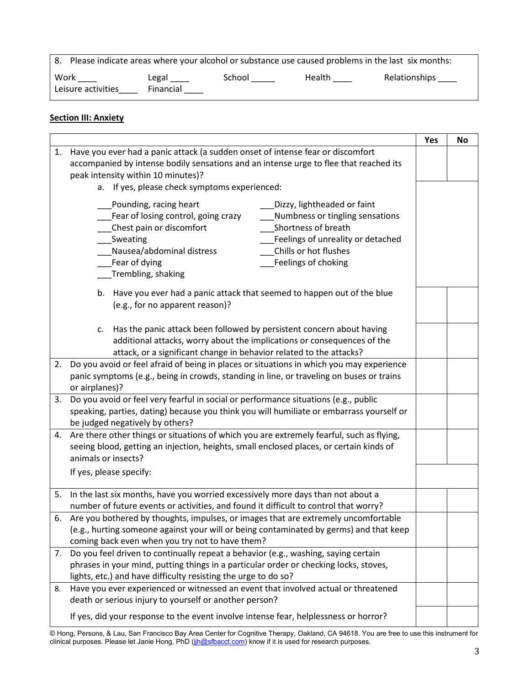|                            | 8. Please indicate areas where your alcohol or substance use caused problems in the last six months: |        |        |                      |  |  |
|----------------------------|------------------------------------------------------------------------------------------------------|--------|--------|----------------------|--|--|
| Work<br>Leisure activities | Legal<br>Financial                                                                                   | School | Health | Relationships ______ |  |  |

## **Section III: Anxiety**

|    |                                                                                                                                                                                                                                                                                                                                                         | Yes | <b>No</b> |
|----|---------------------------------------------------------------------------------------------------------------------------------------------------------------------------------------------------------------------------------------------------------------------------------------------------------------------------------------------------------|-----|-----------|
| 1. | Have you ever had a panic attack (a sudden onset of intense fear or discomfort<br>accompanied by intense bodily sensations and an intense urge to flee that reached its                                                                                                                                                                                 |     |           |
|    | peak intensity within 10 minutes)?                                                                                                                                                                                                                                                                                                                      |     |           |
|    | a. If yes, please check symptoms experienced:                                                                                                                                                                                                                                                                                                           |     |           |
|    | Pounding, racing heart<br>Dizzy, lightheaded or faint<br>Fear of losing control, going crazy<br>Numbness or tingling sensations<br>Chest pain or discomfort<br>Shortness of breath<br>Feelings of unreality or detached<br>Sweating<br>Chills or hot flushes<br>Nausea/abdominal distress<br>Fear of dying<br>Feelings of choking<br>Trembling, shaking |     |           |
|    | b. Have you ever had a panic attack that seemed to happen out of the blue<br>(e.g., for no apparent reason)?                                                                                                                                                                                                                                            |     |           |
|    | Has the panic attack been followed by persistent concern about having<br>c.<br>additional attacks, worry about the implications or consequences of the<br>attack, or a significant change in behavior related to the attacks?                                                                                                                           |     |           |
| 2. | Do you avoid or feel afraid of being in places or situations in which you may experience<br>panic symptoms (e.g., being in crowds, standing in line, or traveling on buses or trains<br>or airplanes)?                                                                                                                                                  |     |           |
| 3. | Do you avoid or feel very fearful in social or performance situations (e.g., public<br>speaking, parties, dating) because you think you will humiliate or embarrass yourself or<br>be judged negatively by others?                                                                                                                                      |     |           |
|    | 4. Are there other things or situations of which you are extremely fearful, such as flying,<br>seeing blood, getting an injection, heights, small enclosed places, or certain kinds of<br>animals or insects?                                                                                                                                           |     |           |
|    | If yes, please specify:                                                                                                                                                                                                                                                                                                                                 |     |           |
| 5. | In the last six months, have you worried excessively more days than not about a<br>number of future events or activities, and found it difficult to control that worry?                                                                                                                                                                                 |     |           |
|    | 6. Are you bothered by thoughts, impulses, or images that are extremely uncomfortable<br>(e.g., hurting someone against your will or being contaminated by germs) and that keep<br>coming back even when you try not to have them?                                                                                                                      |     |           |
| 7. | Do you feel driven to continually repeat a behavior (e.g., washing, saying certain<br>phrases in your mind, putting things in a particular order or checking locks, stoves,<br>lights, etc.) and have difficulty resisting the urge to do so?                                                                                                           |     |           |
| 8. | Have you ever experienced or witnessed an event that involved actual or threatened<br>death or serious injury to yourself or another person?                                                                                                                                                                                                            |     |           |
|    | If yes, did your response to the event involve intense fear, helplessness or horror?                                                                                                                                                                                                                                                                    |     |           |

© Hong, Persons, & Lau, San Francisco Bay Area Center for Cognitive Therapy, Oakland, CA 94618. You are free to use this instrument for clinical purposes. Please let Janie Hong, PhD (jjh@sfbacct.com) know if it is used for research purposes.